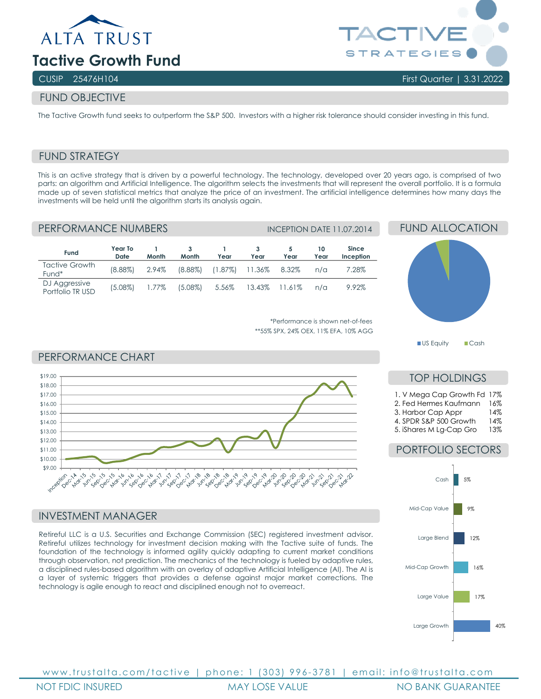



# FUND OBJECTIVE

The Tactive Growth fund seeks to outperform the S&P 500. Investors with a higher risk tolerance should consider investing in this fund.

## FUND STRATEGY

This is an active strategy that is driven by a powerful technology. The technology, developed over 20 years ago, is comprised of two parts: an algorithm and Artificial Intelligence. The algorithm selects the investments that will represent the overall portfolio. It is a formula made up of seven statistical metrics that analyze the price of an investment. The artificial intelligence determines how many days the investments will be held until the algorithm starts its analysis again.

## PERFORMANCE NUMBERS INCEPTION DATE 11.07.2014

| Fund                              | Year To<br>Date | Month | Month      | Year                    | Year          | Year | 10<br>Year | <b>Since</b><br>Inception |
|-----------------------------------|-----------------|-------|------------|-------------------------|---------------|------|------------|---------------------------|
| Tactive Growth<br>Fund*           | $(8.88\%)$      | 2.94% | $(8.88\%)$ | $(1.87\%)$ 11.36% 8.32% |               |      | $n/\alpha$ | 7.28%                     |
| DJ Aggressive<br>Portfolio TR USD | (5.08%)         | 1.77% | $(5.08\%)$ | 5.56%                   | 13.43% 11.61% |      | $n/\alpha$ | 9.92%                     |

\*Performance is shown net-of-fees \*\*55% SPX, 24% OEX, 11% EFA, 10% AGG

#### PERFORMANCE CHART



#### INVESTMENT MANAGER

Retireful LLC is a U.S. Securities and Exchange Commission (SEC) registered investment advisor. Retireful utilizes technology for investment decision making with the Tactive suite of funds. The foundation of the technology is informed agility quickly adapting to current market conditions through observation, not prediction. The mechanics of the technology is fueled by adaptive rules, a disciplined rules-based algorithm with an overlay of adaptive Artificial Intelligence (AI). The AI is a layer of systemic triggers that provides a defense against major market corrections. The technology is agile enough to react and disciplined enough not to overreact.



## TOP HOLDINGS

|  |  | 1. V Mega Cap Growth Fd 17% |  |
|--|--|-----------------------------|--|
|  |  |                             |  |

- 2. Fed Hermes Kaufmann 16%
- 3. Harbor Cap Appr 4. SPDR S&P 500 Growth 14%
- 5. iShares M Lg-Cap Gro 13%

## PORTFOLIO SECTORS